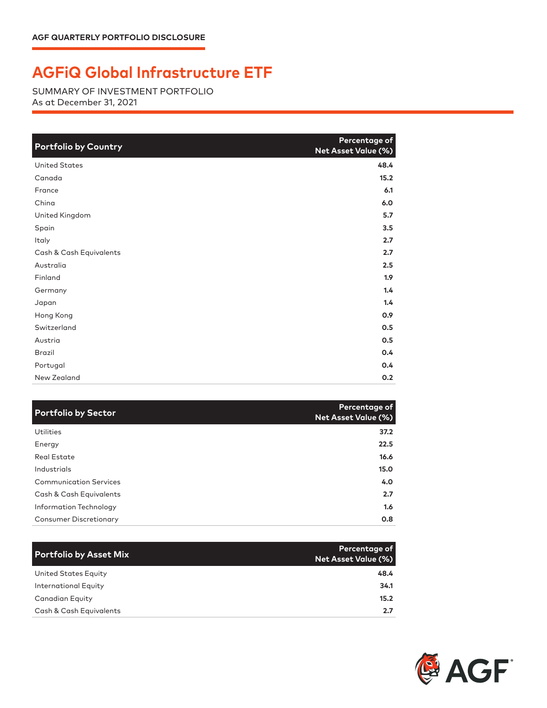## **AGFiQ Global Infrastructure ETF**

SUMMARY OF INVESTMENT PORTFOLIO As at December 31, 2021

| <b>Portfolio by Country</b> | Percentage of<br>Net Asset Value (%) |
|-----------------------------|--------------------------------------|
| <b>United States</b>        | 48.4                                 |
| Canada                      | 15.2                                 |
| France                      | 6.1                                  |
| China                       | 6.0                                  |
| United Kingdom              | 5.7                                  |
| Spain                       | 3.5                                  |
| Italy                       | 2.7                                  |
| Cash & Cash Equivalents     | 2.7                                  |
| Australia                   | 2.5                                  |
| Finland                     | 1.9                                  |
| Germany                     | 1,4                                  |
| Japan                       | 1.4                                  |
| Hong Kong                   | 0.9                                  |
| Switzerland                 | 0.5                                  |
| Austria                     | 0.5                                  |
| <b>Brazil</b>               | 0.4                                  |
| Portugal                    | 0.4                                  |
| New Zealand                 | 0.2                                  |

| <b>Portfolio by Sector</b>    | Percentage of<br>Net Asset Value (%) |
|-------------------------------|--------------------------------------|
| <b>Utilities</b>              | 37.2                                 |
| Energy                        | 22.5                                 |
| Real Estate                   | 16.6                                 |
| Industrials                   | 15.0                                 |
| <b>Communication Services</b> | 4.0                                  |
| Cash & Cash Equivalents       | 2.7                                  |
| Information Technology        | 1.6                                  |
| <b>Consumer Discretionary</b> | 0.8                                  |

| <b>Portfolio by Asset Mix</b> | Percentage of<br>Net Asset Value (%) |
|-------------------------------|--------------------------------------|
| United States Equity          | 48.4                                 |
| <b>International Equity</b>   | 34.1                                 |
| <b>Canadian Equity</b>        | 15.2                                 |
| Cash & Cash Equivalents       | 2.7                                  |